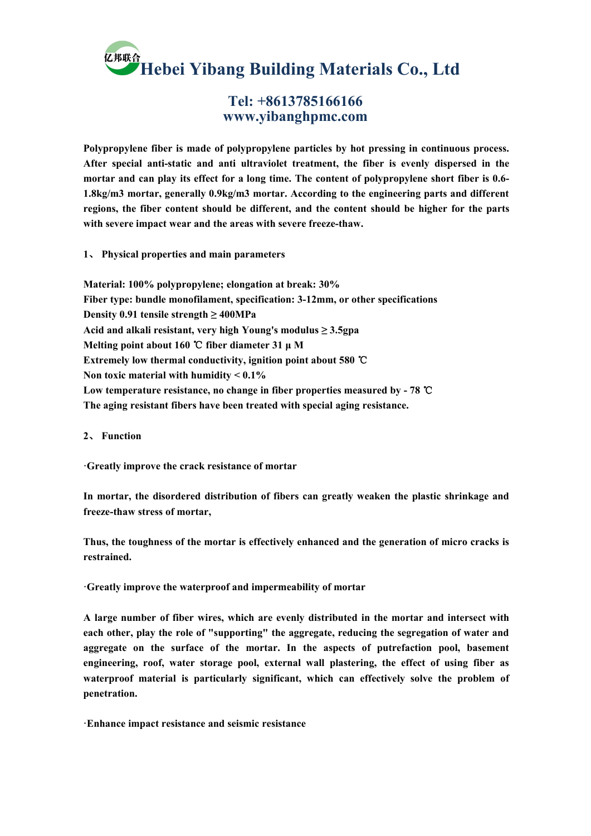**Hebei Yibang Building Materials Co., Ltd**

## **Tel: +8613785166166 www.yibanghpmc.com**

**Polypropylene fiber ismade of polypropylene particles by hot pressing in continuous process. After special anti-static and anti ultraviolet treatment, the fiber is evenly dispersed in the mortar and can play its effect for a long time. The content of polypropylene short fiber is 0.6- 1.8kg/m3 mortar, generally 0.9kg/m3 mortar. According to the engineering parts and different regions, the fiber content should be different, and the content should be higher for the parts with severe impact wear and the areas with severe freeze-thaw.**

**1**、 **Physical properties and main parameters**

**Material: 100% polypropylene; elongation at break:30% Fiber type: bundle monofilament, specification: 3-12mm, or other specifications Density 0.91 tensile strength ≥ 400MPa Acid and alkali resistant, very high Young's modulus ≥ 3.5gpa Melting point about 160** ℃ **fiber diameter 31 μ M Extremely low thermal conductivity, ignition point about 580** ℃ **Non toxic material with humidity < 0.1% Low temperature resistance, no change in fiber properties measured by - 78** ℃ **The aging resistant fibers have been treated with specialaging resistance.2**、 **Function**

**·Greatly improve the crack resistance of mortar**

**In mortar, the disordered distribution of fibers can greatly weaken the plastic shrinkage and freeze-thaw stress of mortar,**

**Thus, the toughness of the mortar is effectively enhanced and the generation of micro cracks is restrained.**

**·Greatly improve the waterproof and impermeability of mortar**

**A large number of fiber wires, which are evenly distributed in the mortar and intersect with each other, play the role of "supporting" the aggregate, reducing the segregation of water and aggregate on the surface of the mortar. In the aspects of putrefaction pool, basement engineering, roof, water storage pool, external wall plastering, the effect of using fiber as waterproof material is particularly significant, which can effectively solve the problem of penetration.**

**·Enhance impact resistance and seismic resistance**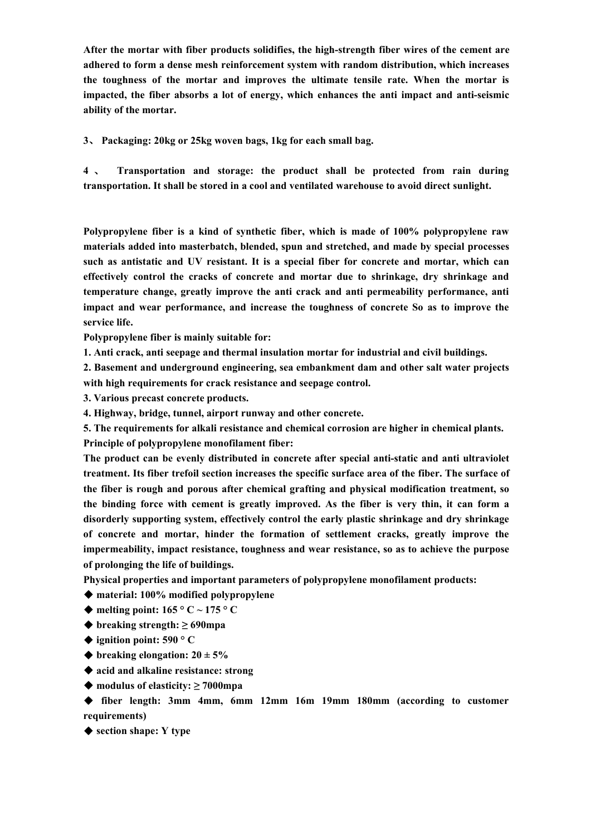**After the mortar with fiber products solidifies, the high-strength fiber wires of the cement are adhered to form a dense mesh reinforcement system with random distribution, which increases the toughness of the mortar and improves the ultimate tensile rate. When the mortar is impacted, the fiber absorbs a lot of energy, which enhances the anti impact and anti-seismic ability of the mortar.**

**3**、 **Packaging: 20kg or 25kg woven bags, 1kg for each small bag.**

**4** 、 **Transportation and storage:the product shall be protected from rain during transportation. It shall be stored in a cool and ventilated warehouse to avoid direct sunlight.**

**Polypropylene fiber isa kind of synthetic fiber, which is made of 100% polypropylene raw materials added into masterbatch, blended, spun and stretched, and made by special processes such as antistatic and UV resistant. It is a special fiber for concrete and mortar, which can effectively control the cracks of concrete and mortar due to shrinkage, dry shrinkage and temperature change,greatly improve the anti crack and anti permeability performance, anti impact and wear performance, and increase the toughness of concrete So as to improve the service life.**

**Polypropylene fiber is mainly suitable for:**

**1. Anti crack, anti seepage and thermal insulation mortar for industrial and civil buildings.**

**2. Basement and underground engineering, sea embankment dam and other salt water projects with high requirements for crack resistance and seepage control.**

**3. Various precast concrete products.**

**4. Highway, bridge, tunnel, airport runway and other concrete.**

**5. The requirements for alkali resistance and chemical corrosion are higher in chemical plants. Principle of polypropylene monofilament fiber:**

**The product can be evenly distributed in concrete after special anti-static and anti ultraviolet treatment. Its fiber trefoil section increases the specific surface area of the fiber. The surface of the fiber isrough and porous after chemical grafting and physical modification treatment, so the binding force with cement is greatly improved. As the fiber is very thin, it can form a disorderly supporting system, effectively control the early plastic shrinkage and dry shrinkage of concrete and mortar, hinder the formation of settlement cracks, greatly improve the impermeability, impact resistance, toughness and wear resistance, so as to achieve the purpose of prolonging the life of buildings.**

**Physical properties and important parameters ofpolypropylene monofilament products:**

- ◆ **material: 100% modified polypropylene**
- $\blacklozenge$  **melting point:** 165  $\degree$  C ~ 175  $\degree$  C
- ◆ **breaking strength: ≥ 690mpa**
- ◆ **ignition point: 590 ° C**
- $\blacklozenge$  **breaking elongation:**  $20 \pm 5\%$
- ◆ **acid and alkaline resistance: strong**
- ◆ **modulus ofelasticity: ≥ 7000mpa**

◆ **fiber length: 3mm 4mm, 6mm 12mm 16m 19mm 180mm (according to customer requirements)**

◆ **section shape: Y type**